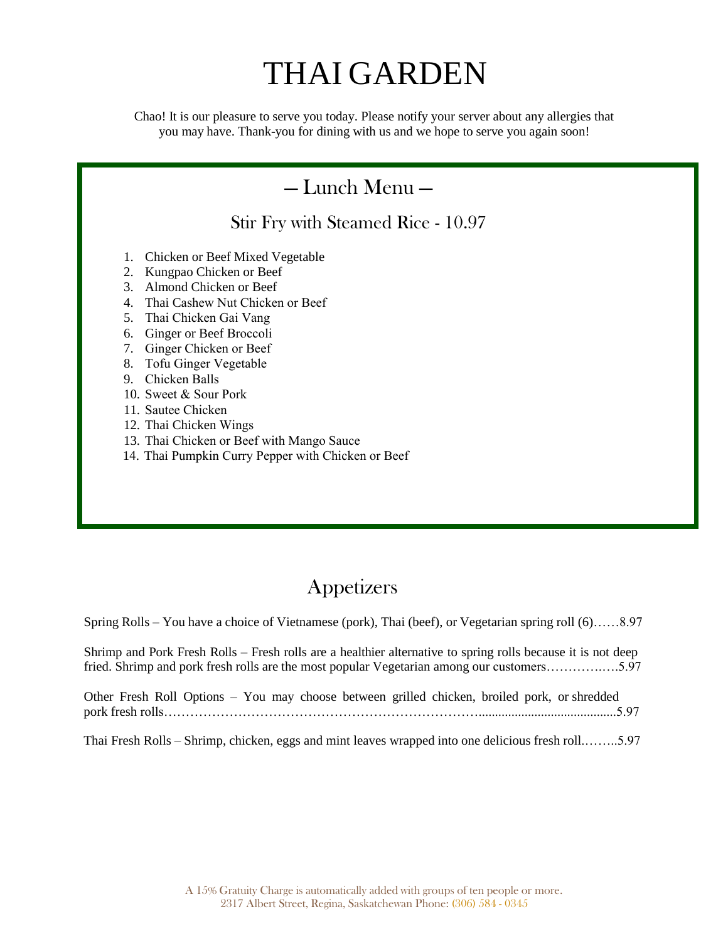# THAI GARDEN

Chao! It is our pleasure to serve you today. Please notify your server about any allergies that you may have. Thank-you for dining with us and we hope to serve you again soon!

### — Lunch Menu — Stir Fry with Steamed Rice - 10.97 1. Chicken or Beef Mixed Vegetable 2. Kungpao Chicken or Beef 3. Almond Chicken or Beef 4. Thai Cashew Nut Chicken or Beef 5. Thai Chicken Gai Vang 6. Ginger or Beef Broccoli 7. Ginger Chicken or Beef 8. Tofu Ginger Vegetable 9. Chicken Balls 10. Sweet & Sour Pork 11. Sautee Chicken 12. Thai Chicken Wings 13. Thai Chicken or Beef with Mango Sauce 14. Thai Pumpkin Curry Pepper with Chicken or Beef

### **Appetizers**

Spring Rolls – You have a choice of Vietnamese (pork), Thai (beef), or Vegetarian spring roll (6)……8.97

Shrimp and Pork Fresh Rolls – Fresh rolls are a healthier alternative to spring rolls because it is not deep fried. Shrimp and pork fresh rolls are the most popular Vegetarian among our customers………….….5.97

|  |  |  |  |  | Other Fresh Roll Options - You may choose between grilled chicken, broiled pork, or shredded |
|--|--|--|--|--|----------------------------------------------------------------------------------------------|
|  |  |  |  |  |                                                                                              |

Thai Fresh Rolls – Shrimp, chicken, eggs and mint leaves wrapped into one delicious fresh roll.……..5.97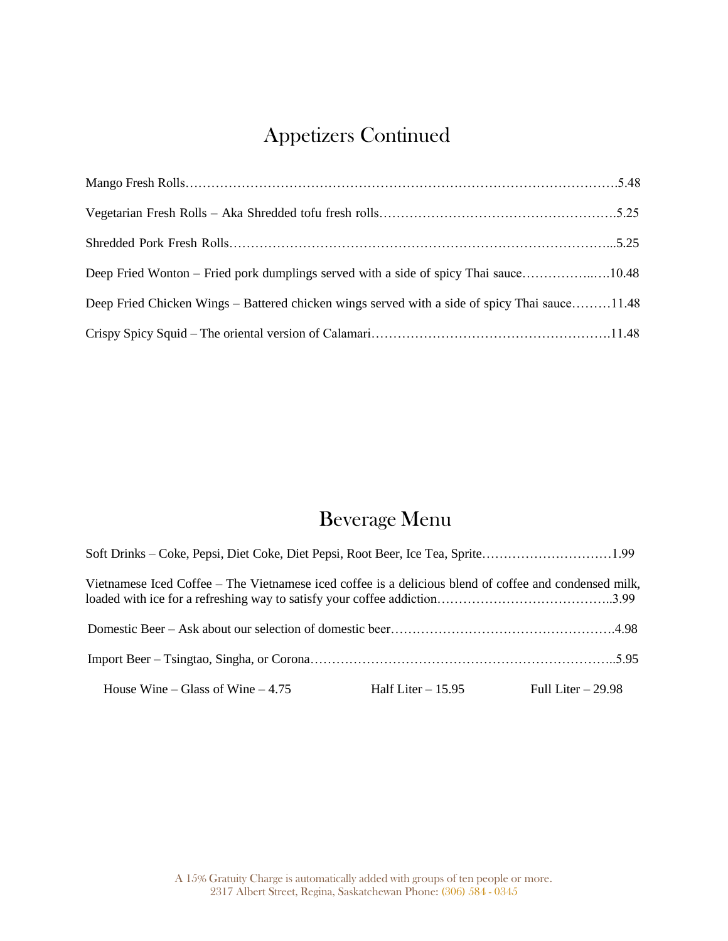# Appetizers Continued

| Deep Fried Wonton – Fried pork dumplings served with a side of spicy Thai sauce10.97          |  |
|-----------------------------------------------------------------------------------------------|--|
| Deep Fried Chicken Wings – Battered chicken wings served with a side of spicy Thai sauce11.97 |  |
|                                                                                               |  |

# Beverage Menu

| Soft Drinks – Coke, Pepsi, Diet Coke, Diet Pepsi, Root Beer, Ice Tea, Sprite2.10                       |                                         |
|--------------------------------------------------------------------------------------------------------|-----------------------------------------|
| Vietnamese Iced Coffee – The Vietnamese iced coffee is a delicious blend of coffee and condensed milk, |                                         |
|                                                                                                        |                                         |
|                                                                                                        |                                         |
| House Wine – Glass of Wine – $4.75$                                                                    | Half Liter $-15.95$ Full Liter $-29.98$ |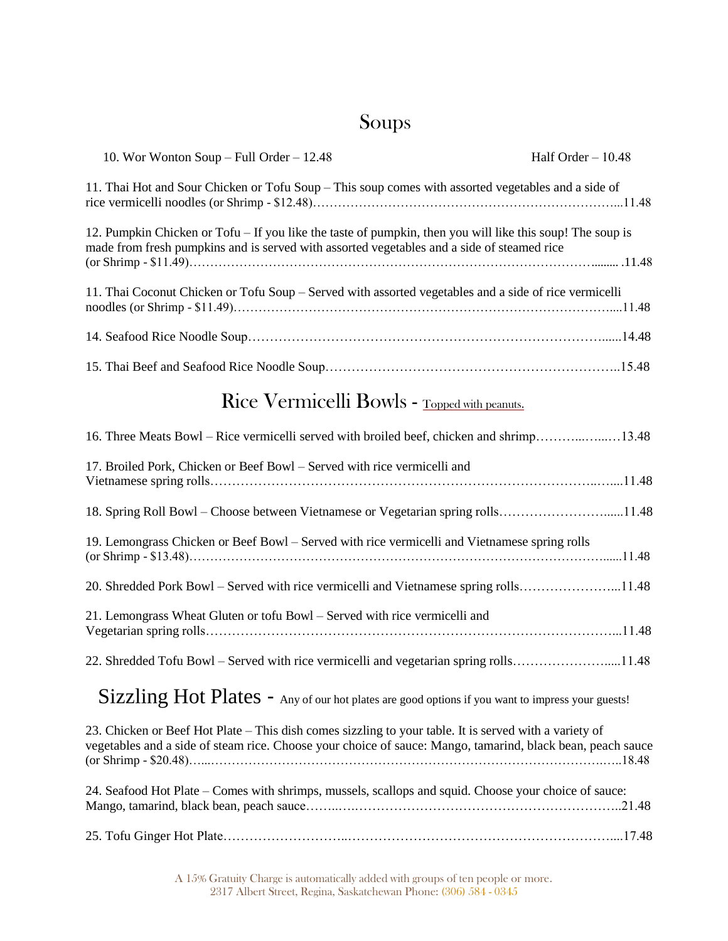# Soups

| 10. Wor Wonton Soup $-$ Full Order $-$ 12.97                                                                                                                                                                         | Half Order $-10.97$ |
|----------------------------------------------------------------------------------------------------------------------------------------------------------------------------------------------------------------------|---------------------|
| 11. Thai Hot and Sour Chicken or Tofu Soup – This soup comes with assorted vegetables and a side of                                                                                                                  |                     |
| 12. Pumpkin Chicken or Tofu - If you like the taste of pumpkin, then you will like this soup! The soup is<br>made from fresh pumpkins and is served with assorted vegetables and a side of steamed rice              |                     |
| 11. Thai Coconut Chicken or Tofu Soup – Served with assorted vegetables and a side of rice vermicelli                                                                                                                |                     |
|                                                                                                                                                                                                                      |                     |
|                                                                                                                                                                                                                      |                     |
| Rice Vermicelli Bowls - Topped with peanuts.                                                                                                                                                                         |                     |
| 16. Three Meats Bowl – Rice vermicelli served with broiled beef, chicken and shrimp13.97                                                                                                                             |                     |
| 17. Broiled Pork, Chicken or Beef Bowl - Served with rice vermicelli and                                                                                                                                             |                     |
| 18. Spring Roll Bowl – Choose between Vietnamese or Vegetarian spring rolls11.97                                                                                                                                     |                     |
| 19. Lemongrass Chicken or Beef Bowl - Served with rice vermicelli and Vietnamese spring rolls                                                                                                                        |                     |
| 20. Shredded Pork Bowl – Served with rice vermicelli and Vietnamese spring rolls11.97                                                                                                                                |                     |
| 21. Lemongrass Wheat Gluten or tofu Bowl - Served with rice vermicelli and                                                                                                                                           |                     |
| 22. Shredded Tofu Bowl – Served with rice vermicelli and vegetarian spring rolls11.97                                                                                                                                |                     |
| Sizzling Hot Plates - Any of our hot plates are good options if you want to impress your guests!                                                                                                                     |                     |
| 23. Chicken or Beef Hot Plate – This dish comes sizzling to your table. It is served with a variety of<br>vegetables and a side of steam rice. Choose your choice of sauce: Mango, tamarind, black bean, peach sauce |                     |
| 24. Seafood Hot Plate – Comes with shrimps, mussels, scallops and squid. Choose your choice of sauce:                                                                                                                |                     |
|                                                                                                                                                                                                                      |                     |

A 15% Gratuity Charge is automatically added with groups of ten people or more. 2317 Albert Street, Regina, Saskatchewan Phone: (306) 584 - 0345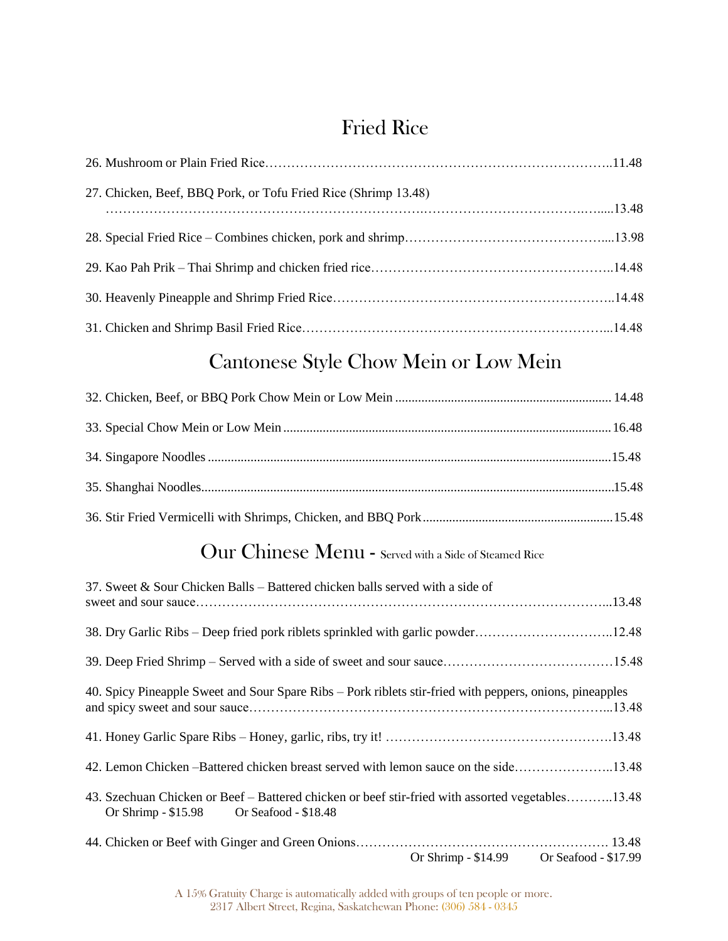# Fried Rice

| 27. Chicken, Beef, BBQ Pork, or Tofu Fried Rice (Shrimp 13.48) |  |
|----------------------------------------------------------------|--|
|                                                                |  |
|                                                                |  |
|                                                                |  |
|                                                                |  |
|                                                                |  |

# Cantonese Style Chow Mein or Low Mein

### Our Chinese Menu - Served with a Side of Steamed Rice

| 37. Sweet & Sour Chicken Balls – Battered chicken balls served with a side of                                                                    |
|--------------------------------------------------------------------------------------------------------------------------------------------------|
| 38. Dry Garlic Ribs – Deep fried pork riblets sprinkled with garlic powder12.97                                                                  |
|                                                                                                                                                  |
| 40. Spicy Pineapple Sweet and Sour Spare Ribs – Pork riblets stir-fried with peppers, onions, pineapples                                         |
|                                                                                                                                                  |
| 42. Lemon Chicken -- Battered chicken breast served with lemon sauce on the side13.97                                                            |
| 43. Szechuan Chicken or Beef – Battered chicken or beef stir-fried with assorted vegetables13.97<br>Or Shrimp $-$ \$15.98 Or Seafood $-$ \$18.48 |
| Or Shrimp - \$15.97 Or Seafood - \$18.97                                                                                                         |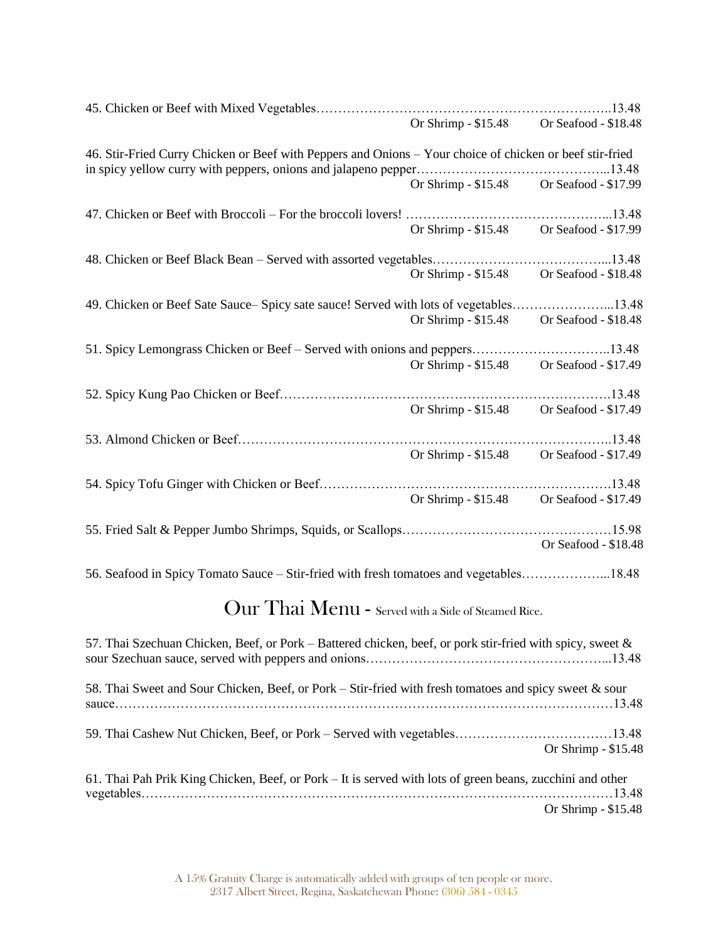|                                                                                                              | Or Shrimp - \$15.97 Or Seafood - \$18.97 |
|--------------------------------------------------------------------------------------------------------------|------------------------------------------|
| 46. Stir-Fried Curry Chicken or Beef with Peppers and Onions - Your choice of chicken or beef stir-fried     |                                          |
|                                                                                                              |                                          |
|                                                                                                              | Or Shrimp - \$15.97 Or Seafood - \$18.97 |
|                                                                                                              |                                          |
|                                                                                                              | Or Shrimp - \$15.97 Or Seafood - \$18.97 |
|                                                                                                              |                                          |
|                                                                                                              | Or Shrimp - \$15.97 Or Seafood - \$18.97 |
| 49. Chicken orBeef Sate Sauce-Spicy sate sauce! Served with lots of vegetables13.97                          |                                          |
|                                                                                                              | Or Shrimp - \$15.97 Or Seafood - \$18.97 |
| 51. Spicy Lemongrass Chicken or Beef – Served with onions and peppers13.97                                   |                                          |
|                                                                                                              | Or Shrimp - \$15.97 Or Seafood - \$18.97 |
|                                                                                                              |                                          |
|                                                                                                              |                                          |
|                                                                                                              | Or Shrimp - \$15.97 Or Seafood - \$18.97 |
|                                                                                                              |                                          |
|                                                                                                              | Or Shrimp - \$15.97 Or Seafood - \$18.97 |
|                                                                                                              |                                          |
|                                                                                                              | Or Shrimp - \$15.97 Or Seafood - \$18.97 |
|                                                                                                              |                                          |
|                                                                                                              | Or Seafood - \$18.97                     |
| 56. Seafood in Spicy Tomato Sauce – Stir-fried with fresh tomatoes and vegetables18.97                       |                                          |
|                                                                                                              |                                          |
| Our Thai Menu - Served with a Side of Steamed Rice.                                                          |                                          |
| 57. Thai Szechuan Chicken, Beef, or Pork – Battered chicken, beef, or pork stir-fried with spicy, sweet $\&$ |                                          |
|                                                                                                              |                                          |
| 58. Thai Sweet and Sour Chicken, Beef, or Pork – Stir-fried with fresh tomatoes and spicy sweet & sour       |                                          |
|                                                                                                              |                                          |
|                                                                                                              |                                          |
|                                                                                                              | Or Shrimp - \$15.97                      |
| 61. Thai Pah Prik King Chicken, Beef, or Pork – It is served with lots of green beans, zucchini and other    |                                          |
|                                                                                                              |                                          |
|                                                                                                              | Or Shrimp - \$15.97                      |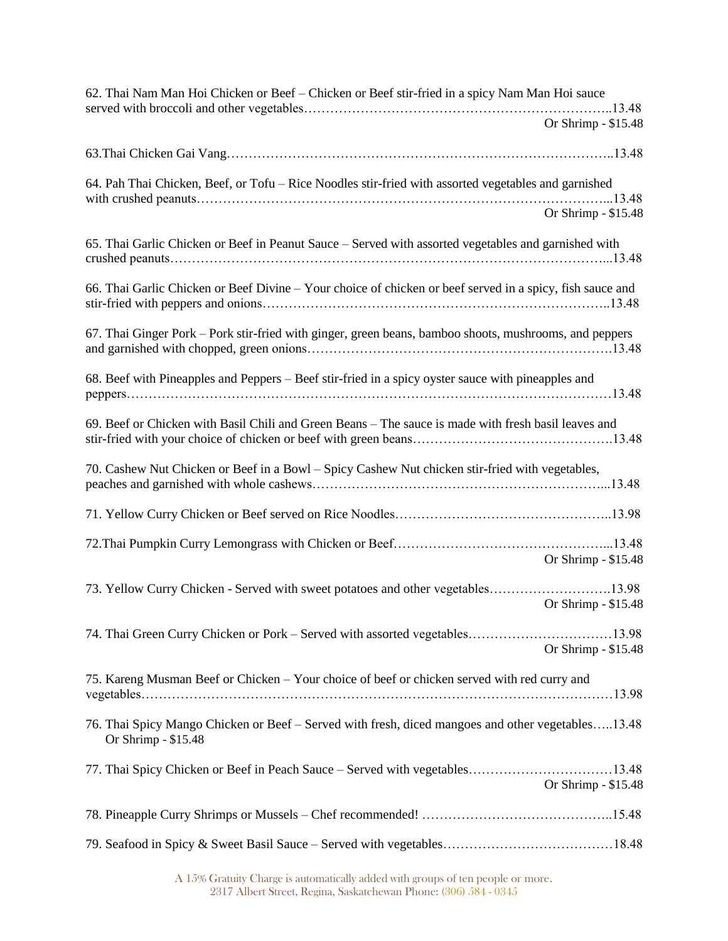| 62. Thai Nam Man Hoi Chicken or Beef - Chicken or Beef stir-fried in a spicy Nam Man Hoi sauce                           |
|--------------------------------------------------------------------------------------------------------------------------|
| Or Shrimp - \$15.97                                                                                                      |
|                                                                                                                          |
| 64. Pah Thai Chicken, Beef, or Tofu – Rice Noodles stir-fried with assorted vegetables and garnished                     |
| Or Shrimp - \$15.97                                                                                                      |
| 65. Thai Garlic Chicken or Beef in Peanut Sauce – Served with assorted vegetables and garnished with                     |
| 66. Thai Garlic Chicken or Beef Divine - Your choice of chicken or beef served in a spicy, fish sauce and                |
| 67. Thai Ginger Pork – Pork stir-fried with ginger, green beans, bamboo shoots, mushrooms, and peppers                   |
| 68. Beef with Pineapples and Peppers – Beef stir-fried in a spicy oyster sauce with pineapples and                       |
| 69. Beef or Chicken with Basil Chili and Green Beans – The sauce is made with fresh basil leaves and                     |
| 70. Cashew Nut Chicken or Beef in a Bowl - Spicy Cashew Nut chicken stir-fried with vegetables,                          |
|                                                                                                                          |
| Or Shrimp - \$15.97                                                                                                      |
| 73. Yellow Curry Chicken - Served with sweet potatoes and other vegetables14.97<br>Or Shrimp - \$15.97                   |
| 74. Thai Green Curry Chicken or Pork – Served with assorted vegetables14.97<br>Or Shrimp - \$14.97                       |
| 75. Kareng Musman Beef or Chicken - Your choice of beef or chicken served with red curry and                             |
| 76. Thai Spicy Mango Chicken or Beef - Served with fresh, diced mangoes and other vegetables13.97<br>Or Shrimp - \$15.48 |
| 77. Thai Spicy Chicken or Beef in Peach Sauce – Served with vegetables13.97<br>Or Shrimp - \$15.97                       |
|                                                                                                                          |
|                                                                                                                          |

A 15% Gratuity Charge is automatically added with groups of ten people or more. 2317 Albert Street, Regina, Saskatchewan Phone: (306) 584 - 0345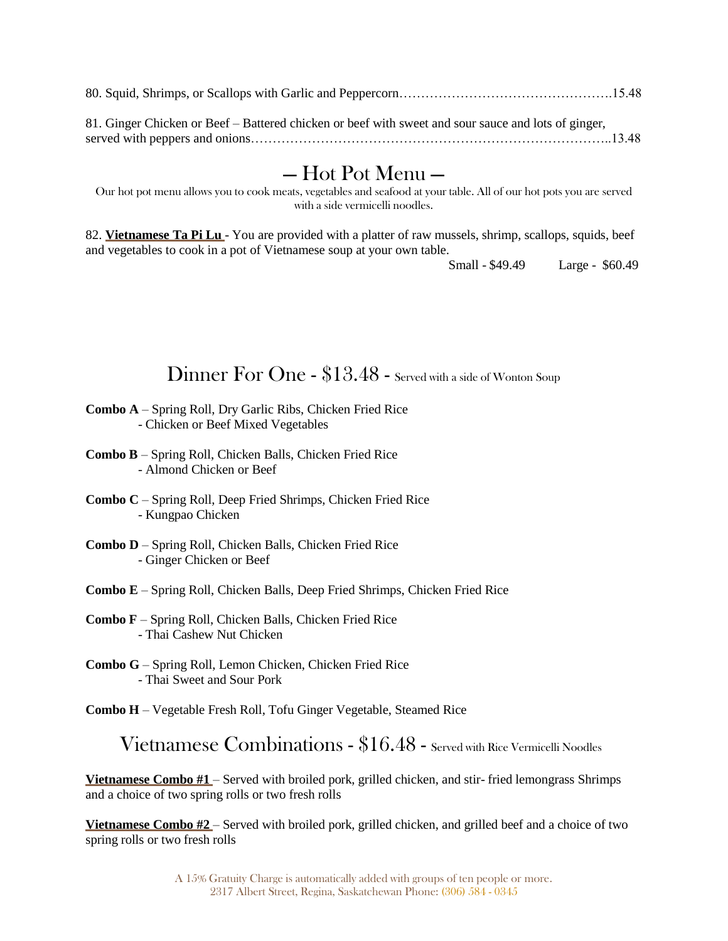81. Ginger Chicken or Beef – Battered chicken or beef with sweet and sour sauce and lots of ginger, served with peppers and onions………………………………………………………………………..13.97

### — Hot Pot Menu —

Our hot pot menu allows you to cook meats, vegetables and seafood at your table. All of our hot pots you are served with a side vermicelli noodles.

82. **Vietnamese Ta Pi Lu** - You are provided with a platter of raw mussels, shrimp, scallops, squids, beef and vegetables to cook in a pot of Vietnamese soup at your own table.

Small - \$67.97 Large - \$67.97

### Dinner For One - \$13.97 - Served with a side of Wonton Soup

- **Combo A** Spring Roll, Dry Garlic Ribs, Chicken Fried Rice - Chicken or Beef Mixed Vegetables
- **Combo B** Spring Roll, Chicken Balls, Chicken Fried Rice - Almond Chicken or Beef
- **Combo C** Spring Roll, Deep Fried Shrimps, Chicken Fried Rice - Kungpao Chicken
- **Combo D** Spring Roll, Chicken Balls, Chicken Fried Rice - Ginger Chicken or Beef
- **Combo E** Spring Roll, Chicken Balls, Deep Fried Shrimps, Chicken Fried Rice
- **Combo F** Spring Roll, Chicken Balls, Chicken Fried Rice - Thai Cashew Nut Chicken
- **Combo G** Spring Roll, Lemon Chicken, Chicken Fried Rice - Thai Sweet and Sour Pork

**Combo H** – Vegetable Fresh Roll, Tofu Ginger Vegetable, Steamed Rice

Vietnamese Combinations - \$16.97 - Served with Rice Vermicelli Noodles

**Vietnamese Combo #1** – Served with broiled pork, grilled chicken, and stir- fried lemongrass Shrimps and a choice of two spring rolls or two fresh rolls

**Vietnamese Combo #2** – Served with broiled pork, grilled chicken, and grilled beef and a choice of two spring rolls or two fresh rolls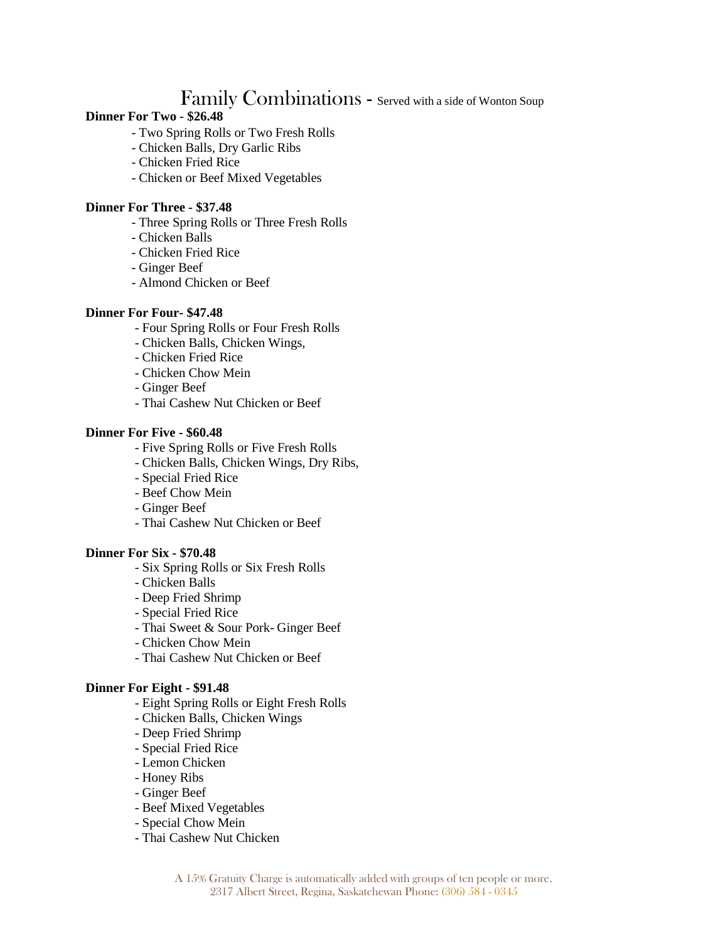# Family Combinations - Served with a side of Wonton

#### Soup **Dinner For Two - \$28.97**

- Two Spring Rolls or Two Fresh Rolls
- Chicken Balls, Dry Garlic Ribs
- Chicken Fried Rice
- Chicken or Beef Mixed Vegetables

#### **Dinner For Three - \$39.97**

- Three Spring Rolls or Three Fresh Rolls
- Chicken Balls
- Chicken Fried Rice
- Ginger Beef
- Almond Chicken or Beef

#### **Dinner For Four- \$49.97**

- Four Spring Rolls or Four Fresh Rolls
- Chicken Balls, Chicken Wings,
- Chicken Fried Rice
- Chicken Chow Mein
- Ginger Beef
- Thai Cashew Nut Chicken or Beef

#### **Dinner For Five - \$67.97**

- Five Spring Rolls or Five Fresh Rolls
- Chicken Balls, Chicken Wings, Dry Ribs,
- Special Fried Rice
- Beef Chow Mein
- Ginger Beef
- Thai Cashew Nut Chicken or Beef

#### **Dinner For Six - \$77.97**

- Six Spring Rolls or Six Fresh Rolls
- Chicken Balls
- Deep Fried Shrimp
- Special Fried Rice
- Thai Sweet & Sour Pork- Ginger Beef
- Chicken Chow Mein
- Thai Cashew Nut Chicken or Beef

#### **Dinner For Eight - \$97.97**

- Eight Spring Rolls or Eight Fresh Rolls
- Chicken Balls, Chicken Wings
- Deep Fried Shrimp
- Special Fried Rice
- Lemon Chicken
- Honey Ribs
- Ginger Beef
- Beef Mixed Vegetables
- Special Chow Mein
- Thai Cashew Nut Chicken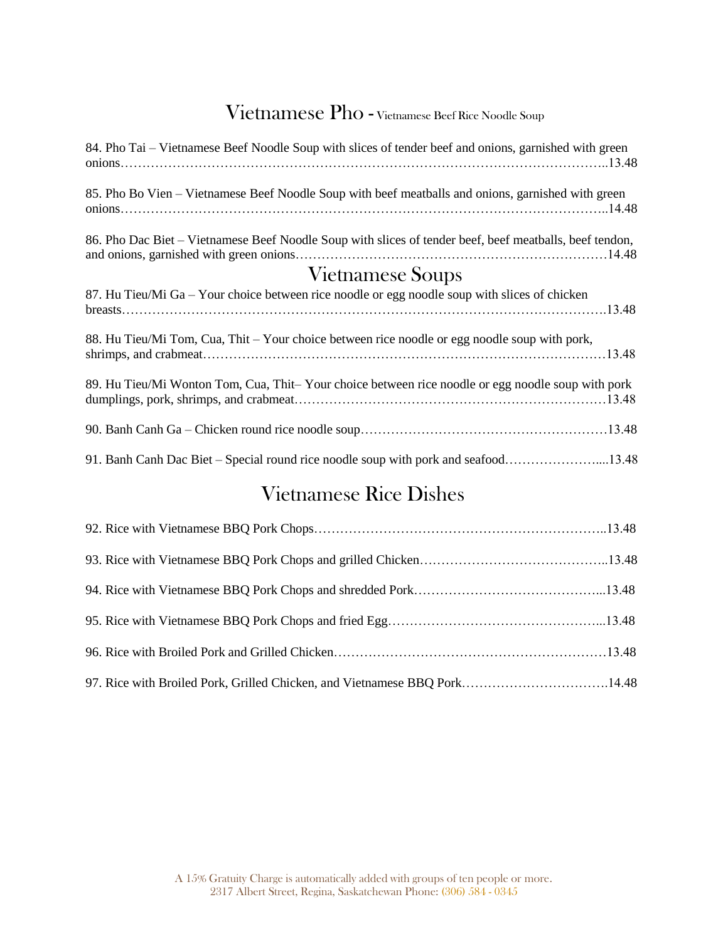# Vietnamese Pho - Vietnamese Beef Rice Noodle Soup

| 84. Pho Tai – Vietnamese Beef Noodle Soup with slices of tender beef and onions, garnished with green   |
|---------------------------------------------------------------------------------------------------------|
| 85. Pho Bo Vien – Vietnamese Beef Noodle Soup with beef meatballs and onions, garnished with green      |
| 86. Pho Dac Biet – Vietnamese Beef Noodle Soup with slices of tender beef, beef meatballs, beef tendon, |
| <b>Vietnamese Soups</b>                                                                                 |
| 87. Hu Tieu/Mi Ga – Your choice between rice noodle or egg noodle soup with slices of chicken           |
| 88. Hu Tieu/Mi Tom, Cua, Thit – Your choice between rice noodle or egg noodle soup with pork,           |
| 89. Hu Tieu/Mi Wonton Tom, Cua, Thit-Your choice between rice noodle or egg noodle soup with pork       |

# Vietnamese Rice Dishes

| 97. Rice with Broiled Pork, Grilled Chicken, and Vietnamese BBQ Pork14.97 |  |
|---------------------------------------------------------------------------|--|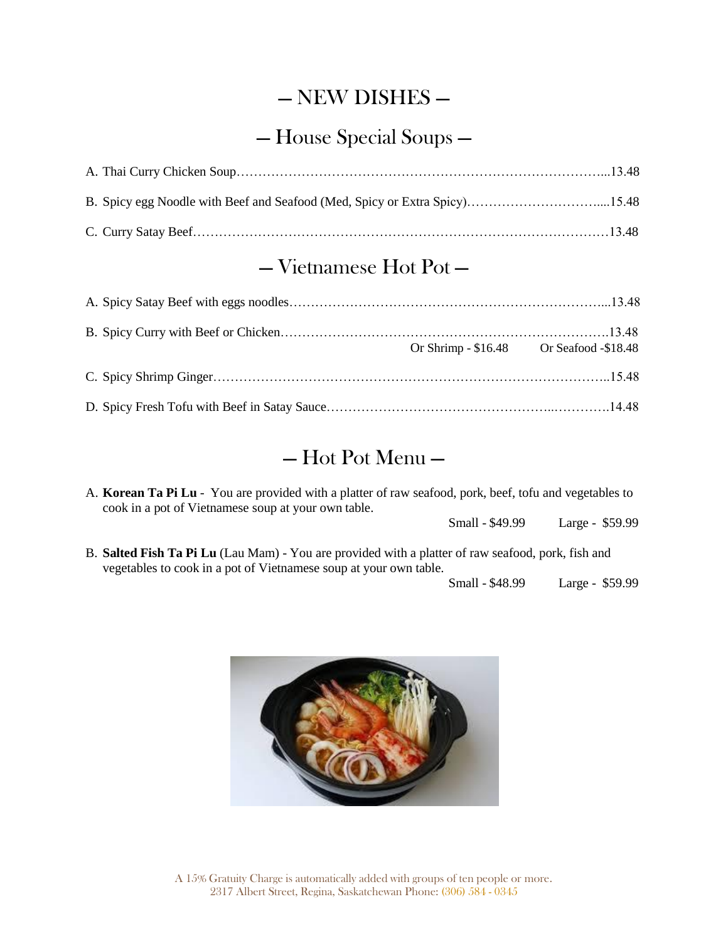# — NEW DISHES —

# — House Special Soups —

### — Vietnamese Hot Pot —

| Or Shrimp - \$16.97 Or Seafood -\$18.97 |  |
|-----------------------------------------|--|
|                                         |  |
|                                         |  |

# — Hot Pot Menu —

Our hot pot menu allows you to cook meats, vegetables and seafood at your table. All of our hot pots are served with a side vermicelli noodles.

 **Vietnamese Ta Pi Lu** - You are provided with a platter of raw mussels, shrimp, scallops, squids, beef and vegetables to cook in a pot of Vietnamese soup at your own table.

Small - \$67.97 Large - \$67.97